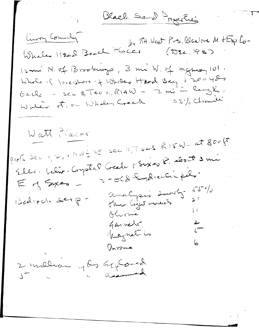Black Sand Progetties Curry Comedy 12 mi N. of Brookings, 3 mi W. of Hyman 101. Whole of forcedore of Wholes Head Bay + 20048  $G \times Q_C$  - sec 3, 1400, RIAW - 2 mi'in langti.  $\leq \frac{1}{2}$  of chronoles Waler F. of Whales Creek Watt Placer Parts Sec 1, 2, i MW = NE Sec 11, TS2S RISW - at 800 ft Elle. below. Comptal Grele + Sexies R. about 3 mi 2-OCD Implications.  $E$  of Sys -Analysis sucht - 15% Bedroch serp-Olivinie Garrett  $\sqrt{2}$ Magnetics  $6 -$ Univorme 2 millian 4 les Geptoral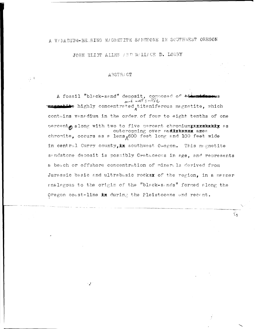A V/NADIUM-BEARING M/GNETITE SANDFONE IN SOUTHWEST OREGON

JOHN ELIOT ALLEN AND WALLACE D. LOWRY

### ABSTRACT

 $\frac{1}{2}$ 

A fossil "black-sand" deposit, composed of titutforous and will sorted megnetite highly concentrated titaniferous magnetite, which contains vanadium in the order of four to eight tenths of one outcropping over endiskands anee chromite, occurs as a lens  $600$  feet long and 100 feet wide in central Curry county, in southwest Oregon. This magnetite sandstone deposit is possibly Cretaceous in age, and represents a beach or offshore concentration of minerals derived from Jurassic basic and ultrabasic rocksx of the region, in a manner enalagous to the origin of the "black-sands" formed along the Oregon coast-line in during the Pleistocene and recent.

Σç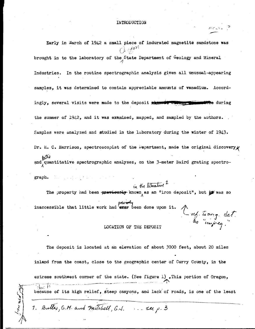#### INTRODUCTION

Early in March of 1942 a small piece of indurated magnetite sandstone was  $\cap$   $_{0}$ *sor*  $\cap$  $\bigcup_{i} \bigcup_{j\in \mathbb{N}}$ brought in to the laboratory of the State Department of Geology and Mineral *1*  Industries. In the routine spectrographic analysis given all unusual-appearing samples, it was determined to contain appreciable amomits of **vanadium.** Accordingly, several visits were made to the deposit **Reposit \*\*\*\*\*\*\*\*\*\*\*\*\*\*\*\*\*\*\*\*\*\*\*\*\*\*\*\*\*\*** during the summer of  $1942$ , and it was examined, mapped, and sampled by the authors. Samples were analyzed and studied in the laboratory during the winter of 1943. Dr. H. C. Harrison, spectroscopist of the Department, made the original discovery  $/$  $a^{\text{tot}}$  and quantitative spectrographic analyses, on the 3-meter Baird grating spectro-

graph.

# in the literature  $^1$

<sup>~</sup>~~J- *de-1:* ,, *l,,,\_.,.\_.;-~* •

 $^{\prime}$ 

The property had been  $\frac{1}{2}$   $\frac{1}{2}$  known as an "iron deposit", but  $\frac{1}{2}$  was so

inaccessible that little work had ever been done upon it.

LOCATION OF THE DEPOSIT

The deposit is located at an elevation of about *3000* feet, about 20 miles inland from the coast, close to the geographic center of Curry County, in the extreme southwest corner of the state. (See figure 1) .This portion of Oregon,  $\psi_{\text{tot}}$   $\mu$   $\psi$  .  $\psi_{\text{in}}$  its high relief, steep canyons, and lack of roads, is one of the least

1. Butter, G.M. and mitchell, G.J. ... see p. 3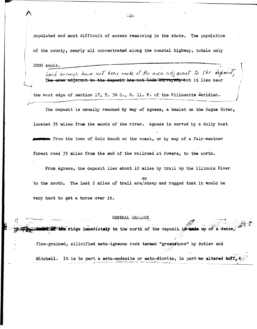populated and most difficult of access remaining in the state. The population

of the county, nearly all concentrated along the coastal highway, totals only

2000 souls.

Land surveys have not been made of the area adjacent to the deposit, The area adjacent to the deposit has not been eurveyed, but it lies near

the west edge of section 17, T. 36 S., R. 11. W. of the Willamette Meridian.

The deposit is usually reached by way of Agness, a hamlet on the Rogue River, located 35 miles from the mouth of the river. Agness is served by a daily boat wive from the town of Gold Beach on the coast, or by way of a fair-weather forest road 35 miles from the end of the railroad at Powers, to the north.

From Agness, the deposit lies about 10 miles by trail up the Illinois River to the south. The last 2 miles of trail are/steep and rugged that it would be

very hard to get a horse over it.

#### GENERAL GEOLOGY

fine-grained, silicified meta-igneous rock termed "greenstone" by Butler and

Mitchell. It is in part a meta-andesite or meta-diorite, in part an altered  $\text{tuff}_1$ .

the ridge immediately to the north of the deposit in made up of a dense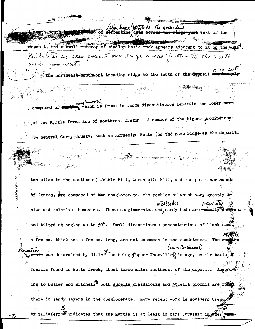Junesa? Interested the greenstand neth-south: and of se pentine cuts across <del>the</del> ridge just west of the deposit, and a small outcrop of similar basic rock appears adjacent to it on the  $e$ Perdoletes we also present over large arras further to the north The northeast-southwest trending ridge to the south of the deposit congloruvate composed of the the which is found in large discontinuous lenses in the lower part of the Myrtle formation of southwest Oregon. A number of the higher prominences in central Curry County, such as Horsesign Butte (on the same ridge as the deposit, two miles to the southwest) Pebble Hill, Seven-mile Hill, and the point northwest of Agness, are composed of the conglomerate, the pebbles of which vary greatly in interbeddt prountly size and relative abundance. These conglomerates and sandy beds are wouldn't deformed and tilted at angles up to  $50^{\circ}$ . Small discontinuous concentrations of black-sand a few mm. thick and a few cm. long, are not uncommon in the sandstones. The e (lower Coetaceous) ativi maliew<br>Reserate was determined by Diller<sup>4</sup> as being *fupper* Knoxville<sub>r</sub> in age, on the basis of fossils found in Butte Creek, about three miles southwest of the deposit. According to Butler and Mitchell<sup>2</sup> both Aucella crassicolis and Aucella piochii are foto there in sandy layers in the conglomerate. More recent work in southern Oregon by Taliaferrow indicates that the Myrtle is at least in part Jurassic in the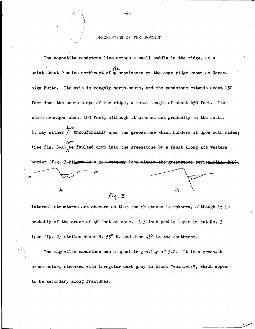## DESCRIPTION OF THE DEPOSIT

-4-

The magnetite sandstone lies across a small saddle in the ridge, at a *(,J...*  point about 2 miles northeast of  $\blacklozenge$  prominence on the same ridge known as Horsesign Butte. Its axis is roughly north-south, and the sandstone extends about 150 feet down the south slope of the ridge, a total length of about 650 feet. Its width averages about 100 feet, although it pinches out gradually to the south. lie It may either  $\overline{ }$  unconformably upon the greenstone which borders it upon both sides; *or*  (See fig.  $3-A$ ) be faulted down into the greenstone by a fault along its western border (fig.  $3-B$ )  $\rightarrow$  be a sedimentary ions within the greenstene w  $\cal B$ A- $Fig. 3$ 

Internal structures are obscure so that the thickness is unknown, although it is probably of the order of 40 feet or more. A 3-inch pebble layer in cut No. 3 (see fig. 2) strikes about N.  $55^{\circ}$  W. and dips 45° to the southwest.

The magnetite sandstone has a specific gravity of 3.2. It is a greenishbrown color, streaked with irregular dark gray to black "veinlets", which appear to be secondary along fractures.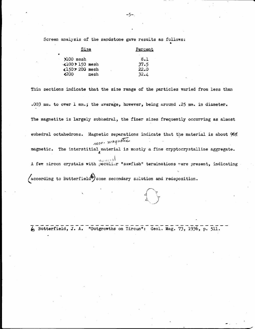Screen analysis of the sandstone gave results as follows: •

| Size                 | Percent |
|----------------------|---------|
| ₩                    |         |
| $2100$ mesh          | 8.1     |
| $-100$ > 150 mesh    | 37.5    |
| «150> 200 mesh       | 22.0    |
| <b>∢</b> 200<br>mesh | 32.4    |

Thin sections indicate that the size range of the particles varied from less than .003 mm. to over 1 mm.; the average, however, being around .25 mm. in diameter. The magnetite is largely subhedral, the finer sizes frequently occurring as almost euhedral octahedrons. Magnetic separations indicate that the material is about 96% mon-maquetic magnetic. The interstitial material is mostly a fine cryptocrystalline aggregate.  $v_{\gamma\omega}$  or at A few zircon crystals with peculiar "sawfish" terminations were present, indicating  $($ according to Butterfield $\bigcirc$ some secondary solution and redeposition.

 $\overline{6}$  Butterfield, J. A. "Outgrowths on Zircon": Geol. Mag. 73, 1936, p. 511.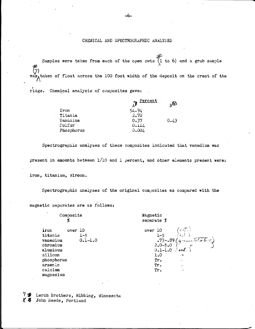#### CHEMICAL AND SPECTROGRAPHIC ANALYSES

Samples were taken from each of the open cuts  $(1 \text{ to } 6)$  and a grab sample ₩ was, taken of float across the 100 foot width of the deposit on the crest of the

ridge. Chemical analysis of composites gave:

|            | <u>Percent</u><br>ΑP | $R_{\rm B}$ |
|------------|----------------------|-------------|
| Iron       | 54.94                |             |
| Titania    | 2.70                 |             |
| Vanadium   | 0.37                 | 0.43        |
| Sulfur     | 0.114                |             |
| Phosphorus | 0.004                |             |

Spectrographic analyses of these composites indicated that vanadium was

present in amounts between  $1/10$  and  $1$  percent, and other elements present were:

iron, titanium, ziroon.

Spectrographic analyses of the original composites as compared with the

Composite Magnetic ø separate % iron over 10 over 10 titania  $1 - 5$  $1 - 5$ vanadium  $0.1 - 1.0$  $-73 - 0.89$ chromium  $2.0 - 5.0$  $0.1 - 1.0$ aluminum  $\mu$ ik 1.0 silicon  $\overline{a}$ phosphorus Tr. arsenic Tr. calcium Tr. magnesium

73 Lerch Brothers, Hibbing, Minnesota 85 John Beede, Portland

magnetic separates are as follows: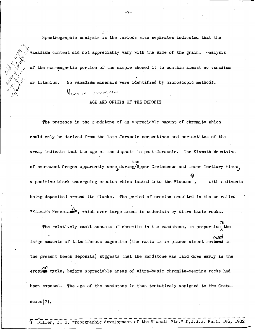Spectrographic analysis is the various size separates indicated that the vanadium content did not appreciably vary with the size of the grain. .<sup>Analysis</sup> of the non-magnetic portion of the sample showed it to contain almost no vanadium *}'* ,,, '\/ or titanium. No vanadium minerals were identified by microscopic methods.

Mention committees

 $\mathcal{O}_{\mathcal{C}}$ 

AGE AND ORIGIN OF THE DEPOSIT

The presence in the sandstone of an appreciable amount of chromite which could only be derived from the late Jurassic serpentines and peridotites of the area, indicate that the age of the deposit is post-Jurassic. The Klamath Mountains the of southwest Oregon apparently were during/Upper Cretaceous and lower Tertiary times, a positive block undergoing erosion which laated into the Miocene, with sediments being deposited around its flanks. The period of erosion resulted in the so-called "Klamath Peneplan", which over large areas is underlain by ultra-basic rocks. The relatively small amounts of chromite in the sandstone, in proportion, the ersed large amounts of titaniferous magnetite (the ratio is in places almost reviesd in the present beach deposits) suggests that the sandstone was laid down **early** in the erosi<sup>on</sup> cycle, before appreciable areas of ultra-basic chromite-bearing rocks had been exposed. The age of the sandstone is thus tentatively assigned to the Creta-

ceous $(?)$ .

J

 $\bigwedge_{i=1}^n \bigwedge_{i=1}^n \bigwedge_{i=1}^n \bigwedge_{i=1}^n \bigwedge_{i=1}^n \bigwedge_{i=1}^n \bigwedge_{i=1}^n \bigwedge_{i=1}^n \bigwedge_{i=1}^n \bigwedge_{i=1}^n \bigwedge_{i=1}^n \bigwedge_{i=1}^n \bigwedge_{i=1}^n \bigwedge_{i=1}^n \bigwedge_{i=1}^n \bigwedge_{i=1}^n \bigwedge_{i=1}^n \bigwedge_{i=1}^n \bigwedge_{i=1}^n \bigwedge_{i=1}^n$ 

 $v_{\oplus}$  ,  $\overline{\mathcal{A}}_{\Lambda_{\mathbf{r}}}$ *·.}1'* \.

Diller, J. S. "Topographic development of the Klamath Mts." U.S.G.S. Bull. 196, 1902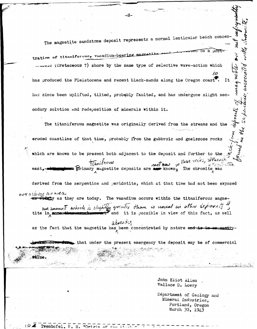The magnetite sandstone deposit represents a normal lenticular beach concen

tration of titeniferous, vanadium-bearing magnet members (Cretaceous ?) shore by the same type of selective wave-action which 10 has produced the Pleistocene and recent black-sands along the Oregon coast Ιt has since been uplifted, tilted, probably faulted, and has undergone slight sec-Re spredge ondary solution and redeposition of minerals within it.

The titaniferous magnetite was originally derived from the streams and the AVO eroded coastline of that time, probably from the gabbroic and gneissose rocks which are known to be present both adjacent to the deposit and further to the Huse rocks, although  $nof$  now montante Primary magnetite deposits are see known, The chromite was

derived from the serpentine and peridotite, which at that time had not been exposed over a starche and over **Widely** as they are today. The vanadium occurs within the titaniferous magne-

value.

an emount which is slightly greater than is usual in other deposits and it is possible in view of this fact, as well tite in mone

alocation as the fact that the magnetite has been concentrated by nature and is in one easily

that under the present emergency the deposit may be of commercial

John Eliot Allen Wallace D. Lowry

Department of Geology and Mineral Industries, Portland, Oregon March 30, 1943

ind.

 $\mathbf{z}$ 

mag mull

andociaico

ంగకా

 $-8-$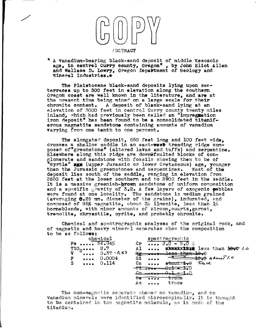#### $F$ BSTRACT

"A vanadium-bearing black-sand deposit of middle Mesozoic age, in central Curry county, Oregon", by John Eliot Allen and Wallace D. Lowry, Oregon Department of Geology and ~1neral Industries.\*

The Pleistocene black-sand deposits lying upon seaterraces up to 300 feet 1n elevation along the southern Oregon coast are well known in the literature, and **are** nt the present time being mined on a large scale for their ohrom1to content. A deposit of black-sand lying at an elevation of 3000 feet in central Curry county twenty miles inland, which had previously been called an "impregnation iron deposit" has been found to be a consolidated titaniferous magnetite sandstone containing amounts of vanadium varying from one tenth to one percent.

The elongated deposit, 650 feet long and 100 feet wide, crosses a shallow saddle in an east-west trending ridge composed of"greenstone" (altered lavas and tuffs) and serpentine.<br>Elsewhere along this ridge are downQfaulted blocks of con $g$ lomerate and sandstone with fossils showing them to be of <sup>W</sup>Myrtle" xxx (upper Jurassic or lower Cretaceous) age, younger<br>than the Jurassic greenstones and serpentines. Most of the than the Jurassic greenstones and serpentines. deposit lies south of the saddle, ranging in elevation from 2650 feet at the lower southern end to 2900 feet in the saddle. It is a massive greenish-grown sandstone of uniform composition and a specific gravity of  $3.2.$  A few layers of exogenic pebbles were found at one locality. The sandstone is medium grained (averaging  $0.25$  mm. diameter of the grains), indurated, and composed of 95% magnetite, about  $3\%$  ilmenite, less than  $1\%$ horneblende, with minor amounts of zircon,quartz,garnet, tremo1ite, **chrysotile,** pyrite, and probably chromite.

of magnetic and heavy mineral separates show the composition to be as **follows:**  Chemical and spectrographic analyses of the original rock, and

|          | chemical                                                                         | spectrographic                                               |                                                                                                                                                                                                                                                                                                                                                                                                      |
|----------|----------------------------------------------------------------------------------|--------------------------------------------------------------|------------------------------------------------------------------------------------------------------------------------------------------------------------------------------------------------------------------------------------------------------------------------------------------------------------------------------------------------------------------------------------------------------|
|          | $Fe$ $54.94%$                                                                    | Cr $2.0 - 5.0 %$                                             |                                                                                                                                                                                                                                                                                                                                                                                                      |
| T102 2.7 |                                                                                  | Al.                                                          | KEEKXXXXXX less than 1000 /0                                                                                                                                                                                                                                                                                                                                                                         |
|          | $V \stackrel{\circ}{\bullet} \cdots \stackrel{\circ}{\bullet} 0 \cdot 37 - 0.43$ | $\frac{M_{\rm{esc}}}{M_{\odot}}$<br><del>r 1838 than -</del> |                                                                                                                                                                                                                                                                                                                                                                                                      |
| P        | $\cdots$ 0.0004<br>$\cdots$                                                      | $S1 \ldots$<br>$atom \rightarrow 0$ $T \alpha c$             | $-\frac{m-1}{2} + \frac{1}{2} + \frac{1}{2} + \frac{1}{2} + \frac{1}{2} + \frac{1}{2} + \frac{1}{2} + \frac{1}{2} + \frac{1}{2} + \frac{1}{2} + \frac{1}{2} + \frac{1}{2} + \frac{1}{2} + \frac{1}{2} + \frac{1}{2} + \frac{1}{2} + \frac{1}{2} + \frac{1}{2} + \frac{1}{2} + \frac{1}{2} + \frac{1}{2} + \frac{1}{2} + \frac{1}{2} + \frac{1}{2} + \frac{1}{2} + \frac{1}{2} + \frac{1}{2} + \frac$ |
| <b>S</b> |                                                                                  | $Ca$ $$                                                      |                                                                                                                                                                                                                                                                                                                                                                                                      |
|          |                                                                                  | ليسططون                                                      |                                                                                                                                                                                                                                                                                                                                                                                                      |
|          |                                                                                  | جهلية<br>trace<br>                                           |                                                                                                                                                                                                                                                                                                                                                                                                      |
|          |                                                                                  | As  trace                                                    |                                                                                                                                                                                                                                                                                                                                                                                                      |

The non-magnetic separate showed no vanadium, and no vanadium minerals were identified microscopically. It is thought to be contained in the magnetite molecule, as is much of the titanium.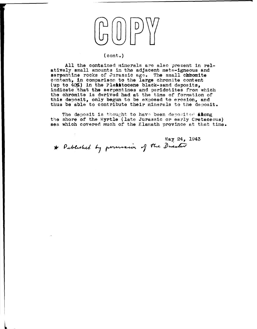

#### (cont.)

All the contained minerals are also present in relatively small anounts in the adjacent mete-igneous and serpentine rocks of Jurassic age. The small chbomite content, *tn* comparison to the large chromite content (up to  $40\%$ ) in the Pleistocene black-sand deposits, indicate /that **the** serpentines and per1dotites from which the chromite is derived had at the time of formation of this deposit, only begun to be exposed to erosion, and thus be able to contribute their minerals to the deposit.

The deposit is thought to have been deposited *along* the shore of the Myrtle (late Jurassic or early Cretaceous) sea which covered much of the Klamath province at that time.

May 24, 1943 \* Peblished by possession of the Ducetor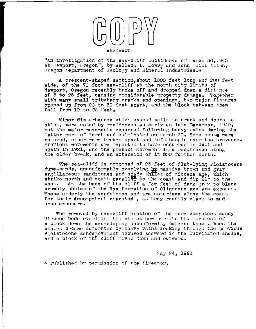

"An investigation of the sea-cliff subsidence of parch 30.1943 at Newport, cregon", by Wallace D. Lowry and John Milot Allen.  $0$  regon Department of Geology and Mineral Industries.\*

A crescent-shaped section,about 1000 feet long and 200 feet wide, of the 70 foot sea-cliff at the north city limits of Newport, Oregon recently broke off and dropped down a distance of 5 to 25 feet, causing considerable property damage. Together with many small tributary cracks and openings, two major fissures opened up from 20 to 30 feet apart, and the block between them  $f$ ell from 10 to 25 feet.

Minor disturbances which caused walls to crack and doors to stick, were noted by residences as early as late December.  $1942$ . but the major movements occurred following heavy rains during the latter part of March and culminated on march 30. Some house were removed, other were broken apart and left hangin over the crevasse. Previous movements are reported to have occurred in 1911 and again in 1921, and the present movement is a recurrence along the older break, and an extension of it 500 further north.

The sea-cliff is composed of 25 feet of flat-lying Pleistocene dune-sands, unconformably overlying  $\frac{b}{2}x$  massive brown and gray argillaceous sandstones and snady shalles of Miocene age, which strike north and south paraller to the coast and dip 21° to the west. At the base of the cliff a few feet of dark grav to black At the base of the cliff a few feet of dark gray to black crumbly shales of the Nye formation of Oligocene age are exposed. These underly the sandstones and are notorium along the coast for their **ancompetent charated.** as they readily slack to mud upon exposure.

The removal by sea-cliff erosion of the more competent sandy Miccene beds overlying the shales now permits the movement of a block down the sea-sloping unconformity between them. When the shales became saturated by heavy rains soaking through the pervious Pleistocene sandsmovement occured seaward in the lubricated shales. and a block of the cliff moved down and outward.

May 24, 1943

\* Published by permission of the Director.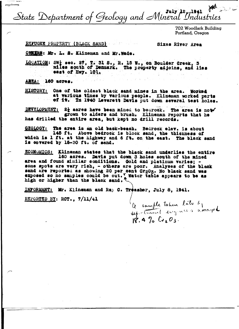State Department of Geology and Mineral Industries

702 Woodlark Building Portland, Oregon

## REFUGEE PROPERTY (BLACK SAND)

Sixes River Area

ORNERS: Mr. L. S. Klineman and Mr. Wade.

LOCATION: SW} sec. 27, T. 31 S., R. 15 W., on Boulder Creek, 3<br>miles south of Denmark. The property adjoins, and lies east of Hwy. 10).

AREA: 160 acres.

One of the oldest black sand mines in the area. Worked **HISTORY:** at various times by various people. Klineman worked parts of it. In 1940 Leverett Davis put down several test holes.

DEVELOPMENT: 2<sup>1</sup> acres have been mined to bedrook. The area is not even as a grown to alders and brush. Klineman reports that he has drilled the entire area, but kept no drill records.

The area is an old back-beach. Bedrock elev. is about GEOLOGY: 145 ft. Above bedrook is block sand, the thickness of which is 1 ft. at the highway and 6 ft. on the east. The black sand is covered by 15-30 ft. of sand.

ECONOMICS: Klineman states that the black sand underlies the entire 160 acres. Davis put down 3 holes south of the mined area and found similar conditions. Gold and platinum varies; some spots are very rich, - others are poor. Analyses of the black sand are reported as showing 20 per cent Cr203. No black sand was<br>exposed so no samples could be cut. Y Water table appears to be as<br>high or higher than the black sand.

INFORMANT: Mr. Klineman and Ray C. Treasher, July 8, 1941.

REPORTED BY: RCT., 7/11/41

Q sample taken late by assayed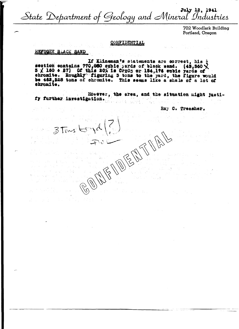July 12, 1941<br>State Department of Geology and Mineral Industries

702 Woodlark Building Portland, Oregon

## CONFIDENTIAL

## REFUGEE BLACK SAND

If Klineman's statements are correct, his  $\frac{1}{2}$ <br>section contains 770,880 cubic yards of black sand. (43,360  $\times$  3  $\times$  180 + 27) Of this 20% is Cr203 or 154,176 cubic yards of chromite. Roughly figuring 3 tons to the be 462,528 tons of chromite. This seems like a shale of a lot of

However, the area, and the situation might justify further investigation.

Ray C. Treasher.

AFFIDED

 $3$  Tons